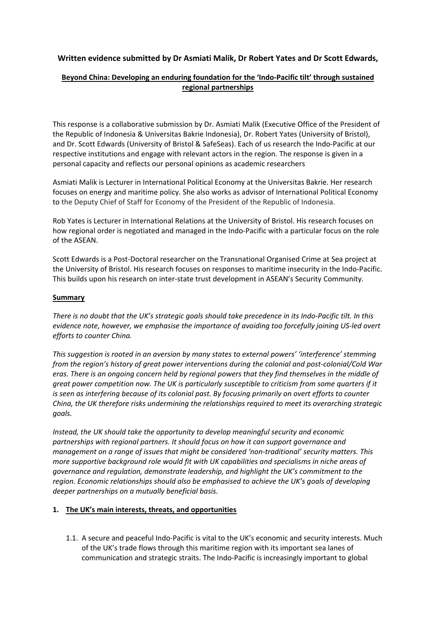# **Written evidence submitted by Dr Asmiati Malik, Dr Robert Yates and Dr Scott Edwards,**

## **Beyond China: Developing an enduring foundation for the 'Indo-Pacific tilt' through sustained regional partnerships**

This response is a collaborative submission by Dr. Asmiati Malik (Executive Office of the President of the Republic of Indonesia & Universitas Bakrie Indonesia), Dr. Robert Yates (University of Bristol), and Dr. Scott Edwards (University of Bristol & SafeSeas). Each of us research the Indo-Pacific at our respective institutions and engage with relevant actors in the region. The response is given in a personal capacity and reflects our personal opinions as academic researchers

Asmiati Malik is Lecturer in International Political Economy at the Universitas Bakrie. Her research focuses on energy and maritime policy. She also works as advisor of International Political Economy to the Deputy Chief of Staff for Economy of the President of the Republic of Indonesia.

Rob Yates is Lecturer in International Relations at the University of Bristol. His research focuses on how regional order is negotiated and managed in the Indo-Pacific with a particular focus on the role of the ASEAN.

Scott Edwards is a Post-Doctoral researcher on the Transnational Organised Crime at Sea project at the University of Bristol. His research focuses on responses to maritime insecurity in the Indo-Pacific. This builds upon his research on inter-state trust development in ASEAN's Security Community.

### **Summary**

There is no doubt that the UK's strategic goals should take precedence in its Indo-Pacific tilt. In this *evidence note, however, we emphasise the importance of avoiding too forcefully joining US-led overt efforts to counter China.*

*This suggestion is rooted in an aversion by many states to external powers' 'interference' stemming from the region's history of great power interventions during the colonial and post-colonial/Cold War* eras. There is an ongoing concern held by regional powers that they find themselves in the middle of *great power competition now. The UK is particularly susceptible to criticism from some quarters if it is seen as interfering because of its colonial past. By focusing primarily on overt efforts to counter China, the UK therefore risks undermining the relationships required to meet its overarching strategic goals.*

*Instead, the UK should take the opportunity to develop meaningful security and economic partnerships with regional partners. It should focus on how it can support governance and management on a range of issues that might be considered 'non-traditional' security matters. This more supportive background role would fit with UK capabilities and specialisms in niche areas of governance and regulation, demonstrate leadership, and highlight the UK's commitment to the region. Economic relationships should also be emphasised to achieve the UK's goals of developing deeper partnerships on a mutually beneficial basis.*

## **1. The UK's main interests, threats, and opportunities**

1.1. A secure and peaceful Indo-Pacific is vital to the UK's economic and security interests. Much of the UK's trade flows through this maritime region with its important sea lanes of communication and strategic straits. The Indo-Pacific is increasingly important to global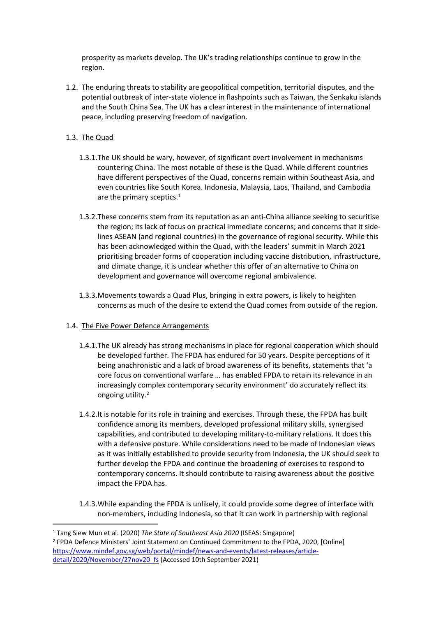prosperity as markets develop. The UK's trading relationships continue to grow in the region.

1.2. The enduring threats to stability are geopolitical competition, territorial disputes, and the potential outbreak of inter-state violence in flashpoints such as Taiwan, the Senkaku islands and the South China Sea. The UK has a clear interest in the maintenance of international peace, including preserving freedom of navigation.

### 1.3. The Quad

- 1.3.1.The UK should be wary, however, of significant overt involvement in mechanisms countering China. The most notable of these is the Quad. While different countries have different perspectives of the Quad, concerns remain within Southeast Asia, and even countries like South Korea. Indonesia, Malaysia, Laos, Thailand, and Cambodia are the primary sceptics.<sup>1</sup>
- 1.3.2.These concerns stem from its reputation as an anti-China alliance seeking to securitise the region; its lack of focus on practical immediate concerns; and concerns that it sidelines ASEAN (and regional countries) in the governance of regional security. While this has been acknowledged within the Quad, with the leaders' summit in March 2021 prioritising broader forms of cooperation including vaccine distribution, infrastructure, and climate change, it is unclear whether this offer of an alternative to China on development and governance will overcome regional ambivalence.
- 1.3.3.Movements towards a Quad Plus, bringing in extra powers, is likely to heighten concerns as much of the desire to extend the Quad comes from outside of the region.

#### 1.4. The Five Power Defence Arrangements

- 1.4.1.The UK already has strong mechanisms in place for regional cooperation which should be developed further. The FPDA has endured for 50 years. Despite perceptions of it being anachronistic and a lack of broad awareness of its benefits, statements that 'a core focus on conventional warfare … has enabled FPDA to retain its relevance in an increasingly complex contemporary security environment' do accurately reflect its ongoing utility.<sup>2</sup>
- 1.4.2.It is notable for its role in training and exercises. Through these, the FPDA has built confidence among its members, developed professional military skills, synergised capabilities, and contributed to developing military-to-military relations. It does this with a defensive posture. While considerations need to be made of Indonesian views as it was initially established to provide security from Indonesia, the UK should seek to further develop the FPDA and continue the broadening of exercises to respond to contemporary concerns. It should contribute to raising awareness about the positive impact the FPDA has.
- 1.4.3.While expanding the FPDA is unlikely, it could provide some degree of interface with non-members, including Indonesia, so that it can work in partnership with regional

<sup>1</sup> Tang Siew Mun et al. (2020) *The State of Southeast Asia 2020* (ISEAS: Singapore) <sup>2</sup> FPDA Defence Ministers' Joint Statement on Continued Commitment to the FPDA, 2020, [Online] [https://www.mindef.gov.sg/web/portal/mindef/news-and-events/latest-releases/article](https://www.mindef.gov.sg/web/portal/mindef/news-and-events/latest-releases/article-detail/2020/November/27nov20_fs)[detail/2020/November/27nov20\\_fs](https://www.mindef.gov.sg/web/portal/mindef/news-and-events/latest-releases/article-detail/2020/November/27nov20_fs) (Accessed 10th September 2021)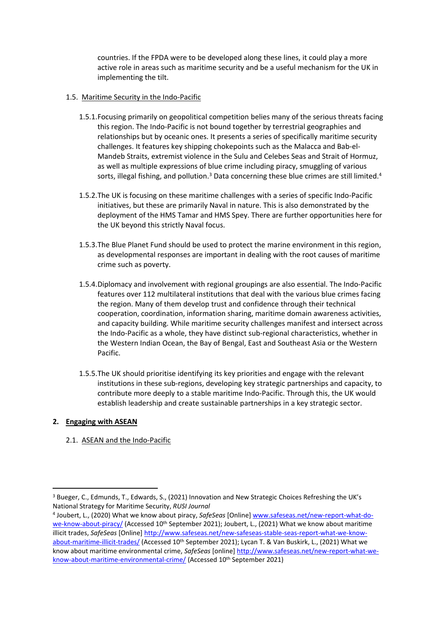countries. If the FPDA were to be developed along these lines, it could play a more active role in areas such as maritime security and be a useful mechanism for the UK in implementing the tilt.

## 1.5. Maritime Security in the Indo-Pacific

- 1.5.1.Focusing primarily on geopolitical competition belies many of the serious threats facing this region. The Indo-Pacific is not bound together by terrestrial geographies and relationships but by oceanic ones. It presents a series of specifically maritime security challenges. It features key shipping chokepoints such as the Malacca and Bab-el-Mandeb Straits, extremist violence in the Sulu and Celebes Seas and Strait of Hormuz, as well as multiple expressions of blue crime including piracy, smuggling of various sorts, illegal fishing, and pollution.<sup>3</sup> Data concerning these blue crimes are still limited.<sup>4</sup>
- 1.5.2.The UK is focusing on these maritime challenges with a series of specific Indo-Pacific initiatives, but these are primarily Naval in nature. This is also demonstrated by the deployment of the HMS Tamar and HMS Spey. There are further opportunities here for the UK beyond this strictly Naval focus.
- 1.5.3.The Blue Planet Fund should be used to protect the marine environment in this region, as developmental responses are important in dealing with the root causes of maritime crime such as poverty.
- 1.5.4.Diplomacy and involvement with regional groupings are also essential. The Indo-Pacific features over 112 multilateral institutions that deal with the various blue crimes facing the region. Many of them develop trust and confidence through their technical cooperation, coordination, information sharing, maritime domain awareness activities, and capacity building. While maritime security challenges manifest and intersect across the Indo-Pacific as a whole, they have distinct sub-regional characteristics, whether in the Western Indian Ocean, the Bay of Bengal, East and Southeast Asia or the Western Pacific.
- 1.5.5.The UK should prioritise identifying its key priorities and engage with the relevant institutions in these sub-regions, developing key strategic partnerships and capacity, to contribute more deeply to a stable maritime Indo-Pacific. Through this, the UK would establish leadership and create sustainable partnerships in a key strategic sector.

## **2. Engaging with ASEAN**

2.1. ASEAN and the Indo-Pacific

<sup>&</sup>lt;sup>3</sup> Bueger, C., Edmunds, T., Edwards, S., (2021) Innovation and New Strategic Choices Refreshing the UK's National Strategy for Maritime Security, *RUSI Journal*

<sup>4</sup> Joubert, L., (2020) What we know about piracy, *SafeSeas* [Online] [www.safeseas.net/new-report-what-do](http://www.safeseas.net/new-report-what-do-we-know-about-piracy/)[we-know-about-piracy/](http://www.safeseas.net/new-report-what-do-we-know-about-piracy/) (Accessed 10<sup>th</sup> September 2021); Joubert, L., (2021) What we know about maritime illicit trades, *SafeSeas* [Online] [http://www.safeseas.net/new-safeseas-stable-seas-report-what-we-know](http://www.safeseas.net/new-safeseas-stable-seas-report-what-we-know-about-maritime-illicit-trades/)[about-maritime-illicit-trades/](http://www.safeseas.net/new-safeseas-stable-seas-report-what-we-know-about-maritime-illicit-trades/) (Accessed 10<sup>th</sup> September 2021); Lycan T. & Van Buskirk, L., (2021) What we know about maritime environmental crime, *SafeSeas* [online] [http://www.safeseas.net/new-report-what-we](http://www.safeseas.net/new-report-what-we-know-about-maritime-environmental-crime/)[know-about-maritime-environmental-crime/](http://www.safeseas.net/new-report-what-we-know-about-maritime-environmental-crime/) (Accessed 10<sup>th</sup> September 2021)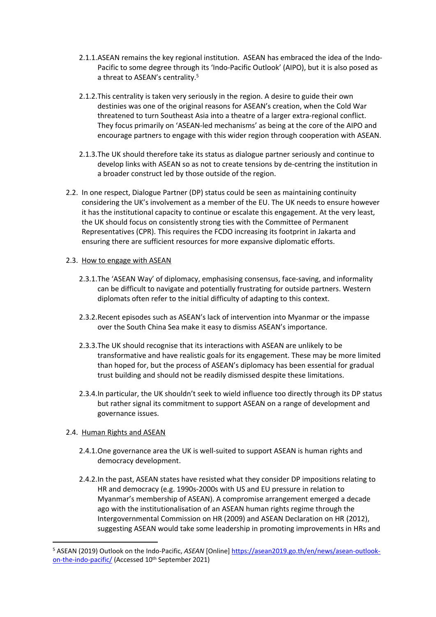- 2.1.1.ASEAN remains the key regional institution. ASEAN has embraced the idea of the Indo-Pacific to some degree through its 'Indo-Pacific Outlook' (AIPO), but it is also posed as a threat to ASEAN's centrality.<sup>5</sup>
- 2.1.2.This centrality is taken very seriously in the region. A desire to guide their own destinies was one of the original reasons for ASEAN's creation, when the Cold War threatened to turn Southeast Asia into a theatre of a larger extra-regional conflict. They focus primarily on 'ASEAN-led mechanisms' as being at the core of the AIPO and encourage partners to engage with this wider region through cooperation with ASEAN.
- 2.1.3.The UK should therefore take its status as dialogue partner seriously and continue to develop links with ASEAN so as not to create tensions by de-centring the institution in a broader construct led by those outside of the region.
- 2.2. In one respect, Dialogue Partner (DP) status could be seen as maintaining continuity considering the UK's involvement as a member of the EU. The UK needs to ensure however it has the institutional capacity to continue or escalate this engagement. At the very least, the UK should focus on consistently strong ties with the Committee of Permanent Representatives (CPR). This requires the FCDO increasing its footprint in Jakarta and ensuring there are sufficient resources for more expansive diplomatic efforts.

### 2.3. How to engage with ASEAN

- 2.3.1.The 'ASEAN Way' of diplomacy, emphasising consensus, face-saving, and informality can be difficult to navigate and potentially frustrating for outside partners. Western diplomats often refer to the initial difficulty of adapting to this context.
- 2.3.2.Recent episodes such as ASEAN's lack of intervention into Myanmar or the impasse over the South China Sea make it easy to dismiss ASEAN's importance.
- 2.3.3.The UK should recognise that its interactions with ASEAN are unlikely to be transformative and have realistic goals for its engagement. These may be more limited than hoped for, but the process of ASEAN's diplomacy has been essential for gradual trust building and should not be readily dismissed despite these limitations.
- 2.3.4.In particular, the UK shouldn't seek to wield influence too directly through its DP status but rather signal its commitment to support ASEAN on a range of development and governance issues.

## 2.4. Human Rights and ASEAN

- 2.4.1.One governance area the UK is well-suited to support ASEAN is human rights and democracy development.
- 2.4.2.In the past, ASEAN states have resisted what they consider DP impositions relating to HR and democracy (e.g. 1990s-2000s with US and EU pressure in relation to Myanmar's membership of ASEAN). A compromise arrangement emerged a decade ago with the institutionalisation of an ASEAN human rights regime through the Intergovernmental Commission on HR (2009) and ASEAN Declaration on HR (2012), suggesting ASEAN would take some leadership in promoting improvements in HRs and

<sup>5</sup> ASEAN (2019) Outlook on the Indo-Pacific, *ASEAN* [Online] [https://asean2019.go.th/en/news/asean-outlook](https://asean2019.go.th/en/news/asean-outlook-on-the-indo-pacific/)[on-the-indo-pacific/](https://asean2019.go.th/en/news/asean-outlook-on-the-indo-pacific/) (Accessed 10<sup>th</sup> September 2021)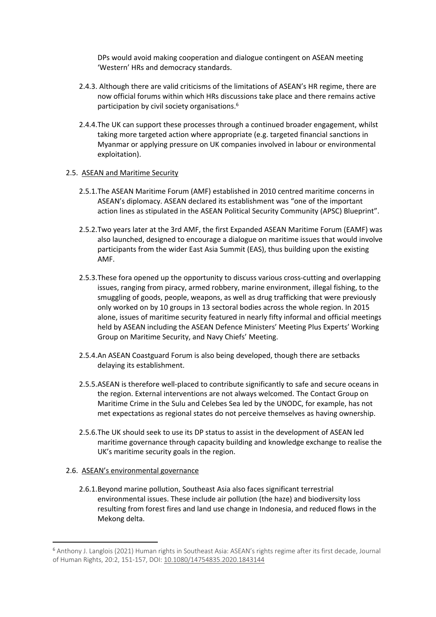DPs would avoid making cooperation and dialogue contingent on ASEAN meeting 'Western' HRs and democracy standards.

- 2.4.3. Although there are valid criticisms of the limitations of ASEAN's HR regime, there are now official forums within which HRs discussions take place and there remains active participation by civil society organisations.<sup>6</sup>
- 2.4.4.The UK can support these processes through a continued broader engagement, whilst taking more targeted action where appropriate (e.g. targeted financial sanctions in Myanmar or applying pressure on UK companies involved in labour or environmental exploitation).

#### 2.5. ASEAN and Maritime Security

- 2.5.1.The ASEAN Maritime Forum (AMF) established in 2010 centred maritime concerns in ASEAN's diplomacy. ASEAN declared its establishment was "one of the important action lines as stipulated in the ASEAN Political Security Community (APSC) Blueprint".
- 2.5.2.Two years later at the 3rd AMF, the first Expanded ASEAN Maritime Forum (EAMF) was also launched, designed to encourage a dialogue on maritime issues that would involve participants from the wider East Asia Summit (EAS), thus building upon the existing AMF.
- 2.5.3.These fora opened up the opportunity to discuss various cross-cutting and overlapping issues, ranging from piracy, armed robbery, marine environment, illegal fishing, to the smuggling of goods, people, weapons, as well as drug trafficking that were previously only worked on by 10 groups in 13 sectoral bodies across the whole region. In 2015 alone, issues of maritime security featured in nearly fifty informal and official meetings held by ASEAN including the ASEAN Defence Ministers' Meeting Plus Experts' Working Group on Maritime Security, and Navy Chiefs' Meeting.
- 2.5.4.An ASEAN Coastguard Forum is also being developed, though there are setbacks delaying its establishment.
- 2.5.5.ASEAN is therefore well-placed to contribute significantly to safe and secure oceans in the region. External interventions are not always welcomed. The Contact Group on Maritime Crime in the Sulu and Celebes Sea led by the UNODC, for example, has not met expectations as regional states do not perceive themselves as having ownership.
- 2.5.6.The UK should seek to use its DP status to assist in the development of ASEAN led maritime governance through capacity building and knowledge exchange to realise the UK's maritime security goals in the region.

#### 2.6. ASEAN's environmental governance

2.6.1.Beyond marine pollution, Southeast Asia also faces significant terrestrial environmental issues. These include air pollution (the haze) and biodiversity loss resulting from forest fires and land use change in Indonesia, and reduced flows in the Mekong delta.

<sup>6</sup> Anthony J. Langlois (2021) Human rights in Southeast Asia: ASEAN's rights regime after its first decade, Journal of Human Rights, 20:2, 151-157, DOI: [10.1080/14754835.2020.1843144](https://doi.org/10.1080/14754835.2020.1843144)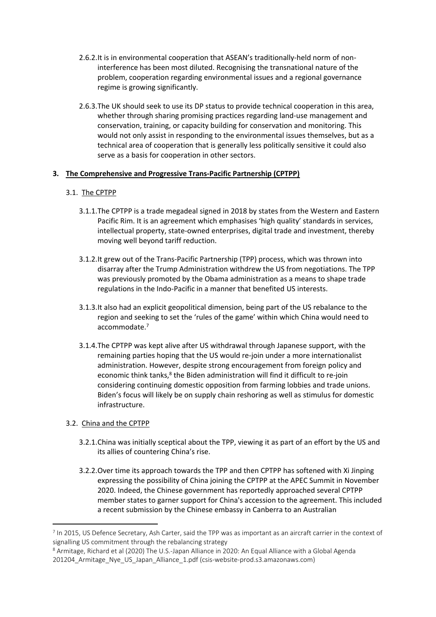- 2.6.2.It is in environmental cooperation that ASEAN's traditionally-held norm of noninterference has been most diluted. Recognising the transnational nature of the problem, cooperation regarding environmental issues and a regional governance regime is growing significantly.
- 2.6.3.The UK should seek to use its DP status to provide technical cooperation in this area, whether through sharing promising practices regarding land-use management and conservation, training, or capacity building for conservation and monitoring. This would not only assist in responding to the environmental issues themselves, but as a technical area of cooperation that is generally less politically sensitive it could also serve as a basis for cooperation in other sectors.

### **3. The Comprehensive and Progressive Trans-Pacific Partnership (CPTPP)**

### 3.1. The CPTPP

- 3.1.1.The CPTPP is a trade megadeal signed in 2018 by states from the Western and Eastern Pacific Rim. It is an agreement which emphasises 'high quality' standards in services, intellectual property, state-owned enterprises, digital trade and investment, thereby moving well beyond tariff reduction.
- 3.1.2.It grew out of the Trans-Pacific Partnership (TPP) process, which was thrown into disarray after the Trump Administration withdrew the US from negotiations. The TPP was previously promoted by the Obama administration as a means to shape trade regulations in the Indo-Pacific in a manner that benefited US interests.
- 3.1.3.It also had an explicit geopolitical dimension, being part of the US rebalance to the region and seeking to set the 'rules of the game' within which China would need to accommodate.<sup>7</sup>
- 3.1.4.The CPTPP was kept alive after US withdrawal through Japanese support, with the remaining parties hoping that the US would re-join under a more internationalist administration. However, despite strong encouragement from foreign policy and economic think tanks,<sup>8</sup> the Biden administration will find it difficult to re-join considering continuing domestic opposition from farming lobbies and trade unions. Biden's focus will likely be on supply chain reshoring as well as stimulus for domestic infrastructure.

#### 3.2. China and the CPTPP

- 3.2.1.China was initially sceptical about the TPP, viewing it as part of an effort by the US and its allies of countering China's rise.
- 3.2.2.Over time its approach towards the TPP and then CPTPP has softened with Xi Jinping expressing the possibility of China joining the CPTPP at the APEC Summit in November 2020. Indeed, the Chinese government has reportedly approached several CPTPP member states to garner support for China's accession to the agreement. This included a recent submission by the Chinese embassy in Canberra to an Australian

<sup>7</sup> In 2015, US Defence Secretary, Ash Carter, said the TPP was as important as an aircraft carrier in the context of signalling US commitment through the rebalancing strategy

<sup>8</sup> Armitage, Richard et al (2020) The U.S.-Japan Alliance in 2020: An Equal Alliance with a Global Agenda 201204\_Armitage\_Nye\_US\_Japan\_Alliance\_1.pdf (csis-website-prod.s3.amazonaws.com)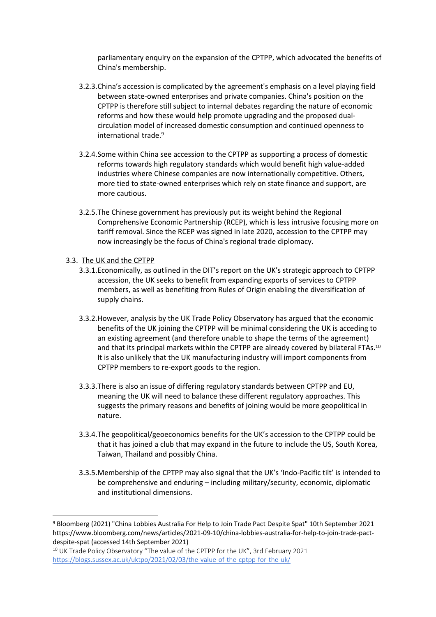parliamentary enquiry on the expansion of the CPTPP, which advocated the benefits of China's membership.

- 3.2.3.China's accession is complicated by the agreement's emphasis on a level playing field between state-owned enterprises and private companies. China's position on the CPTPP is therefore still subject to internal debates regarding the nature of economic reforms and how these would help promote upgrading and the proposed dualcirculation model of increased domestic consumption and continued openness to international trade.<sup>9</sup>
- 3.2.4.Some within China see accession to the CPTPP as supporting a process of domestic reforms towards high regulatory standards which would benefit high value-added industries where Chinese companies are now internationally competitive. Others, more tied to state-owned enterprises which rely on state finance and support, are more cautious.
- 3.2.5.The Chinese government has previously put its weight behind the Regional Comprehensive Economic Partnership (RCEP), which is less intrusive focusing more on tariff removal. Since the RCEP was signed in late 2020, accession to the CPTPP may now increasingly be the focus of China's regional trade diplomacy.

#### 3.3. The UK and the CPTPP

- 3.3.1.Economically, as outlined in the DIT's report on the UK's strategic approach to CPTPP accession, the UK seeks to benefit from expanding exports of services to CPTPP members, as well as benefiting from Rules of Origin enabling the diversification of supply chains.
- 3.3.2.However, analysis by the UK Trade Policy Observatory has argued that the economic benefits of the UK joining the CPTPP will be minimal considering the UK is acceding to an existing agreement (and therefore unable to shape the terms of the agreement) and that its principal markets within the CPTPP are already covered by bilateral FTAs.<sup>10</sup> It is also unlikely that the UK manufacturing industry will import components from CPTPP members to re-export goods to the region.
- 3.3.3.There is also an issue of differing regulatory standards between CPTPP and EU, meaning the UK will need to balance these different regulatory approaches. This suggests the primary reasons and benefits of joining would be more geopolitical in nature.
- 3.3.4.The geopolitical/geoeconomics benefits for the UK's accession to the CPTPP could be that it has joined a club that may expand in the future to include the US, South Korea, Taiwan, Thailand and possibly China.
- 3.3.5.Membership of the CPTPP may also signal that the UK's 'Indo-Pacific tilt' is intended to be comprehensive and enduring – including military/security, economic, diplomatic and institutional dimensions.

<sup>9</sup> Bloomberg (2021) "China Lobbies Australia For Help to Join Trade Pact Despite Spat" 10th September 2021 https://www.bloomberg.com/news/articles/2021-09-10/china-lobbies-australia-for-help-to-join-trade-pactdespite-spat (accessed 14th September 2021)

<sup>&</sup>lt;sup>10</sup> UK Trade Policy Observatory "The value of the CPTPP for the UK", 3rd February 2021 <https://blogs.sussex.ac.uk/uktpo/2021/02/03/the-value-of-the-cptpp-for-the-uk/>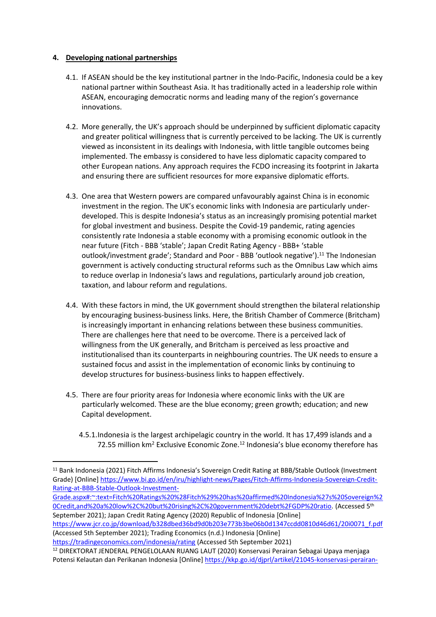### **4. Developing national partnerships**

- 4.1. If ASEAN should be the key institutional partner in the Indo-Pacific, Indonesia could be a key national partner within Southeast Asia. It has traditionally acted in a leadership role within ASEAN, encouraging democratic norms and leading many of the region's governance innovations.
- 4.2. More generally, the UK's approach should be underpinned by sufficient diplomatic capacity and greater political willingness that is currently perceived to be lacking. The UK is currently viewed as inconsistent in its dealings with Indonesia, with little tangible outcomes being implemented. The embassy is considered to have less diplomatic capacity compared to other European nations. Any approach requires the FCDO increasing its footprint in Jakarta and ensuring there are sufficient resources for more expansive diplomatic efforts.
- 4.3. One area that Western powers are compared unfavourably against China is in economic investment in the region. The UK's economic links with Indonesia are particularly underdeveloped. This is despite Indonesia's status as an increasingly promising potential market for global investment and business. Despite the Covid-19 pandemic, rating agencies consistently rate Indonesia a stable economy with a promising economic outlook in the near future (Fitch - BBB 'stable'; Japan Credit Rating Agency - BBB+ 'stable outlook/investment grade'; Standard and Poor - BBB 'outlook negative').<sup>11</sup> The Indonesian government is actively conducting structural reforms such as the Omnibus Law which aims to reduce overlap in Indonesia's laws and regulations, particularly around job creation, taxation, and labour reform and regulations.
- 4.4. With these factors in mind, the UK government should strengthen the bilateral relationship by encouraging business-business links. Here, the British Chamber of Commerce (Britcham) is increasingly important in enhancing relations between these business communities. There are challenges here that need to be overcome. There is a perceived lack of willingness from the UK generally, and Britcham is perceived as less proactive and institutionalised than its counterparts in neighbouring countries. The UK needs to ensure a sustained focus and assist in the implementation of economic links by continuing to develop structures for business-business links to happen effectively.
- 4.5. There are four priority areas for Indonesia where economic links with the UK are particularly welcomed. These are the blue economy; green growth; education; and new Capital development.
	- 4.5.1.Indonesia is the largest archipelagic country in the world. It has 17,499 islands and a 72.55 million km<sup>2</sup> Exclusive Economic Zone.<sup>12</sup> Indonesia's blue economy therefore has

[Grade.aspx#:~:text=Fitch%20Ratings%20%28Fitch%29%20has%20affirmed%20Indonesia%27s%20Sovereign%2](https://www.bi.go.id/en/iru/highlight-news/Pages/Fitch-Affirms-Indonesia-Sovereign-Credit-Rating-at-BBB-Stable-Outlook-Investment-Grade.aspx#:~:text=Fitch%20Ratings%20%28Fitch%29%20has%20affirmed%20Indonesia%27s%20Sovereign%20Credit,and%20a%20low%2C%20but%20rising%2C%20government%20debt%2FGDP%20ratio) [0Credit,and%20a%20low%2C%20but%20rising%2C%20government%20debt%2FGDP%20ratio.](https://www.bi.go.id/en/iru/highlight-news/Pages/Fitch-Affirms-Indonesia-Sovereign-Credit-Rating-at-BBB-Stable-Outlook-Investment-Grade.aspx#:~:text=Fitch%20Ratings%20%28Fitch%29%20has%20affirmed%20Indonesia%27s%20Sovereign%20Credit,and%20a%20low%2C%20but%20rising%2C%20government%20debt%2FGDP%20ratio) (Accessed 5 th September 2021); Japan Credit Rating Agency (2020) Republic of Indonesia [Online]

```
https://www.jcr.co.jp/download/b328dbed36bd9d0b203e773b3be06b0d1347ccdd0810d46d61/20i0071_f.pdf
(Accessed 5th September 2021); Trading Economics (n.d.) Indonesia [Online]
```
<https://tradingeconomics.com/indonesia/rating> (Accessed 5th September 2021) <sup>12</sup> DIREKTORAT JENDERAL PENGELOLAAN RUANG LAUT (2020) Konservasi Perairan Sebagai Upaya menjaga

<sup>11</sup> Bank Indonesia (2021) Fitch Affirms Indonesia's Sovereign Credit Rating at BBB/Stable Outlook (Investment Grade) [Online] [https://www.bi.go.id/en/iru/highlight-news/Pages/Fitch-Affirms-Indonesia-Sovereign-Credit-](https://www.bi.go.id/en/iru/highlight-news/Pages/Fitch-Affirms-Indonesia-Sovereign-Credit-Rating-at-BBB-Stable-Outlook-Investment-Grade.aspx#:~:text=Fitch%20Ratings%20%28Fitch%29%20has%20affirmed%20Indonesia%27s%20Sovereign%20Credit,and%20a%20low%2C%20but%20rising%2C%20government%20debt%2FGDP%20ratio)[Rating-at-BBB-Stable-Outlook-Investment-](https://www.bi.go.id/en/iru/highlight-news/Pages/Fitch-Affirms-Indonesia-Sovereign-Credit-Rating-at-BBB-Stable-Outlook-Investment-Grade.aspx#:~:text=Fitch%20Ratings%20%28Fitch%29%20has%20affirmed%20Indonesia%27s%20Sovereign%20Credit,and%20a%20low%2C%20but%20rising%2C%20government%20debt%2FGDP%20ratio)

Potensi Kelautan dan Perikanan Indonesia [Online] [https://kkp.go.id/djprl/artikel/21045-konservasi-perairan-](https://kkp.go.id/djprl/artikel/21045-konservasi-perairan-sebagai-upaya-menjaga-potensi-kelautan-dan-perikanan-indonesia)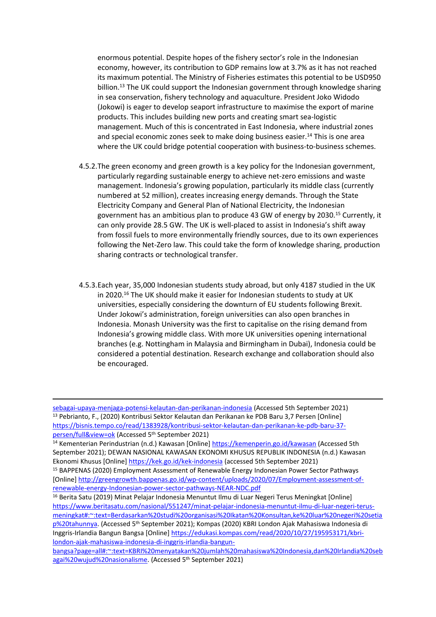enormous potential. Despite hopes of the fishery sector's role in the Indonesian economy, however, its contribution to GDP remains low at 3.7% as it has not reached its maximum potential. The Ministry of Fisheries estimates this potential to be USD950 billion.<sup>13</sup> The UK could support the Indonesian government through knowledge sharing in sea conservation, fishery technology and aquaculture. President Joko Widodo (Jokowi) is eager to develop seaport infrastructure to maximise the export of marine products. This includes building new ports and creating smart sea-logistic management. Much of this is concentrated in East Indonesia, where industrial zones and special economic zones seek to make doing business easier.<sup>14</sup> This is one area where the UK could bridge potential cooperation with business-to-business schemes.

- 4.5.2.The green economy and green growth is a key policy for the Indonesian government, particularly regarding sustainable energy to achieve net-zero emissions and waste management. Indonesia's growing population, particularly its middle class (currently numbered at 52 million), creates increasing energy demands. Through the State Electricity Company and General Plan of National Electricity, the Indonesian government has an ambitious plan to produce 43 GW of energy by 2030.<sup>15</sup> Currently, it can only provide 28.5 GW. The UK is well-placed to assist in Indonesia's shift away from fossil fuels to more environmentally friendly sources, due to its own experiences following the Net-Zero law. This could take the form of knowledge sharing, production sharing contracts or technological transfer.
- 4.5.3.Each year, 35,000 Indonesian students study abroad, but only 4187 studied in the UK in 2020.<sup>16</sup> The UK should make it easier for Indonesian students to study at UK universities, especially considering the downturn of EU students following Brexit. Under Jokowi's administration, foreign universities can also open branches in Indonesia. Monash University was the first to capitalise on the rising demand from Indonesia's growing middle class. With more UK universities opening international branches (e.g. Nottingham in Malaysia and Birmingham in Dubai), Indonesia could be considered a potential destination. Research exchange and collaboration should also be encouraged.

[sebagai-upaya-menjaga-potensi-kelautan-dan-perikanan-indonesia](https://kkp.go.id/djprl/artikel/21045-konservasi-perairan-sebagai-upaya-menjaga-potensi-kelautan-dan-perikanan-indonesia) (Accessed 5th September 2021) <sup>13</sup> Pebrianto, F., (2020) Kontribusi Sektor Kelautan dan Perikanan ke PDB Baru 3,7 Persen [Online] [https://bisnis.tempo.co/read/1383928/kontribusi-sektor-kelautan-dan-perikanan-ke-pdb-baru-37](https://bisnis.tempo.co/read/1383928/kontribusi-sektor-kelautan-dan-perikanan-ke-pdb-baru-37-persen/full&view=ok) [persen/full&view=ok](https://bisnis.tempo.co/read/1383928/kontribusi-sektor-kelautan-dan-perikanan-ke-pdb-baru-37-persen/full&view=ok) (Accessed 5<sup>th</sup> September 2021)

<sup>&</sup>lt;sup>14</sup> Kementerian Perindustrian (n.d.) Kawasan [Online] <https://kemenperin.go.id/kawasan> (Accessed 5th September 2021); DEWAN NASIONAL KAWASAN EKONOMI KHUSUS REPUBLIK INDONESIA (n.d.) Kawasan Ekonomi Khusus [Online] <https://kek.go.id/kek-indonesia> (accessed 5th September 2021)

<sup>15</sup> BAPPENAS (2020) Employment Assessment of Renewable Energy Indonesian Power Sector Pathways [Online] [http://greengrowth.bappenas.go.id/wp-content/uploads/2020/07/Employment-assessment-of](http://greengrowth.bappenas.go.id/wp-content/uploads/2020/07/Employment-assessment-of-renewable-energy-Indonesian-power-sector-pathways-NEAR-NDC.pdf)[renewable-energy-Indonesian-power-sector-pathways-NEAR-NDC.pdf](http://greengrowth.bappenas.go.id/wp-content/uploads/2020/07/Employment-assessment-of-renewable-energy-Indonesian-power-sector-pathways-NEAR-NDC.pdf)

<sup>&</sup>lt;sup>16</sup> Berita Satu (2019) Minat Pelajar Indonesia Menuntut Ilmu di Luar Negeri Terus Meningkat [Online] [https://www.beritasatu.com/nasional/551247/minat-pelajar-indonesia-menuntut-ilmu-di-luar-negeri-terus](https://www.beritasatu.com/nasional/551247/minat-pelajar-indonesia-menuntut-ilmu-di-luar-negeri-terus-meningkat#:~:text=Berdasarkan%20studi%20organisasi%20Ikatan%20Konsultan,ke%20luar%20negeri%20setiap%20tahunnya)[meningkat#:~:text=Berdasarkan%20studi%20organisasi%20Ikatan%20Konsultan,ke%20luar%20negeri%20setia](https://www.beritasatu.com/nasional/551247/minat-pelajar-indonesia-menuntut-ilmu-di-luar-negeri-terus-meningkat#:~:text=Berdasarkan%20studi%20organisasi%20Ikatan%20Konsultan,ke%20luar%20negeri%20setiap%20tahunnya) [p%20tahunnya.](https://www.beritasatu.com/nasional/551247/minat-pelajar-indonesia-menuntut-ilmu-di-luar-negeri-terus-meningkat#:~:text=Berdasarkan%20studi%20organisasi%20Ikatan%20Konsultan,ke%20luar%20negeri%20setiap%20tahunnya) (Accessed 5<sup>th</sup> September 2021); Kompas (2020) KBRI London Ajak Mahasiswa Indonesia di Inggris-Irlandia Bangun Bangsa [Online] [https://edukasi.kompas.com/read/2020/10/27/195953171/kbri](https://edukasi.kompas.com/read/2020/10/27/195953171/kbri-london-ajak-mahasiswa-indonesia-di-inggris-irlandia-bangun-bangsa?page=all#:~:text=KBRI%20menyatakan%20jumlah%20mahasiswa%20Indonesia,dan%20Irlandia%20sebagai%20wujud%20nasionalisme)[london-ajak-mahasiswa-indonesia-di-inggris-irlandia-bangun-](https://edukasi.kompas.com/read/2020/10/27/195953171/kbri-london-ajak-mahasiswa-indonesia-di-inggris-irlandia-bangun-bangsa?page=all#:~:text=KBRI%20menyatakan%20jumlah%20mahasiswa%20Indonesia,dan%20Irlandia%20sebagai%20wujud%20nasionalisme)

[bangsa?page=all#:~:text=KBRI%20menyatakan%20jumlah%20mahasiswa%20Indonesia,dan%20Irlandia%20seb](https://edukasi.kompas.com/read/2020/10/27/195953171/kbri-london-ajak-mahasiswa-indonesia-di-inggris-irlandia-bangun-bangsa?page=all#:~:text=KBRI%20menyatakan%20jumlah%20mahasiswa%20Indonesia,dan%20Irlandia%20sebagai%20wujud%20nasionalisme) [agai%20wujud%20nasionalisme](https://edukasi.kompas.com/read/2020/10/27/195953171/kbri-london-ajak-mahasiswa-indonesia-di-inggris-irlandia-bangun-bangsa?page=all#:~:text=KBRI%20menyatakan%20jumlah%20mahasiswa%20Indonesia,dan%20Irlandia%20sebagai%20wujud%20nasionalisme). (Accessed 5<sup>th</sup> September 2021)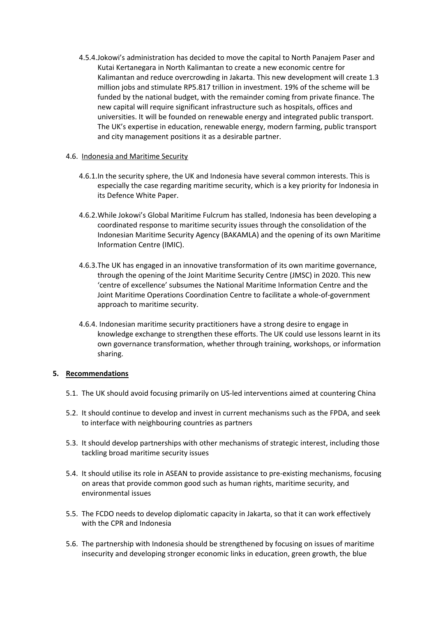4.5.4.Jokowi's administration has decided to move the capital to North Panajem Paser and Kutai Kertanegara in North Kalimantan to create a new economic centre for Kalimantan and reduce overcrowding in Jakarta. This new development will create 1.3 million jobs and stimulate RP5.817 trillion in investment. 19% of the scheme will be funded by the national budget, with the remainder coming from private finance. The new capital will require significant infrastructure such as hospitals, offices and universities. It will be founded on renewable energy and integrated public transport. The UK's expertise in education, renewable energy, modern farming, public transport and city management positions it as a desirable partner.

#### 4.6. Indonesia and Maritime Security

- 4.6.1.In the security sphere, the UK and Indonesia have several common interests. This is especially the case regarding maritime security, which is a key priority for Indonesia in its Defence White Paper.
- 4.6.2.While Jokowi's Global Maritime Fulcrum has stalled, Indonesia has been developing a coordinated response to maritime security issues through the consolidation of the Indonesian Maritime Security Agency (BAKAMLA) and the opening of its own Maritime Information Centre (IMIC).
- 4.6.3.The UK has engaged in an innovative transformation of its own maritime governance, through the opening of the Joint Maritime Security Centre (JMSC) in 2020. This new 'centre of excellence' subsumes the National Maritime Information Centre and the Joint Maritime Operations Coordination Centre to facilitate a whole-of-government approach to maritime security.
- 4.6.4. Indonesian maritime security practitioners have a strong desire to engage in knowledge exchange to strengthen these efforts. The UK could use lessons learnt in its own governance transformation, whether through training, workshops, or information sharing.

## **5. Recommendations**

- 5.1. The UK should avoid focusing primarily on US-led interventions aimed at countering China
- 5.2. It should continue to develop and invest in current mechanisms such as the FPDA, and seek to interface with neighbouring countries as partners
- 5.3. It should develop partnerships with other mechanisms of strategic interest, including those tackling broad maritime security issues
- 5.4. It should utilise its role in ASEAN to provide assistance to pre-existing mechanisms, focusing on areas that provide common good such as human rights, maritime security, and environmental issues
- 5.5. The FCDO needs to develop diplomatic capacity in Jakarta, so that it can work effectively with the CPR and Indonesia
- 5.6. The partnership with Indonesia should be strengthened by focusing on issues of maritime insecurity and developing stronger economic links in education, green growth, the blue